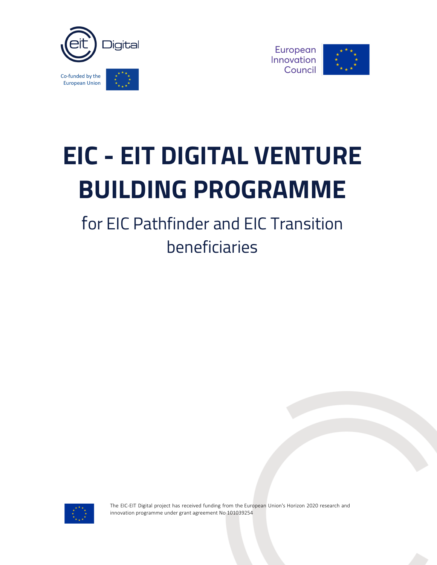



# **EIC - EIT DIGITAL VENTURE BUILDING PROGRAMME**

for EIC Pathfinder and EIC Transition beneficiaries



The EIC-EIT Digital project has received funding from the European Union's Horizon 2020 research and innovation programme under grant agreement No 101039254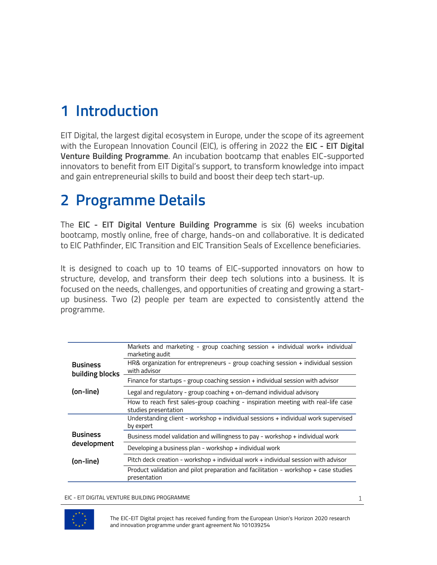# **1 Introduction**

EIT Digital, the largest digital ecosystem in Europe, under the scope of its agreement with the European Innovation Council (EIC), is offering in 2022 the **EIC - EIT Digital Venture Building Programme**. An incubation bootcamp that enables EIC-supported innovators to benefit from EIT Digital's support, to transform knowledge into impact and gain entrepreneurial skills to build and boost their deep tech start-up.

### **2 Programme Details**

The **EIC - EIT Digital Venture Building Programme** is six (6) weeks incubation bootcamp, mostly online, free of charge, hands-on and collaborative. It is dedicated to EIC Pathfinder, EIC Transition and EIC Transition Seals of Excellence beneficiaries.

It is designed to coach up to 10 teams of EIC-supported innovators on how to structure, develop, and transform their deep tech solutions into a business. It is focused on the needs, challenges, and opportunities of creating and growing a startup business. Two (2) people per team are expected to consistently attend the programme.

|                                    | Markets and marketing - group coaching session + individual work+ individual<br>marketing audit           |
|------------------------------------|-----------------------------------------------------------------------------------------------------------|
| <b>Business</b><br>building blocks | HR& organization for entrepreneurs - group coaching session $+$ individual session<br>with advisor        |
|                                    | Finance for startups - group coaching session + individual session with advisor                           |
| (on-line)                          | Legal and regulatory - group coaching + on-demand individual advisory                                     |
|                                    | How to reach first sales-group coaching - inspiration meeting with real-life case<br>studies presentation |
|                                    | Understanding client - workshop + individual sessions + individual work supervised<br>by expert           |
| <b>Business</b><br>development     | Business model validation and willingness to pay - workshop + individual work                             |
|                                    | Developing a business plan - workshop + individual work                                                   |
| (on-line)                          | Pitch deck creation - workshop + individual work + individual session with advisor                        |
|                                    | Product validation and pilot preparation and facilitation - workshop + case studies<br>presentation       |

EIC - EIT DIGITAL VENTURE BUILDING PROGRAMME



The EIC-EIT Digital project has received funding from the European Union's Horizon 2020 research and innovation programme under grant agreement No 101039254

1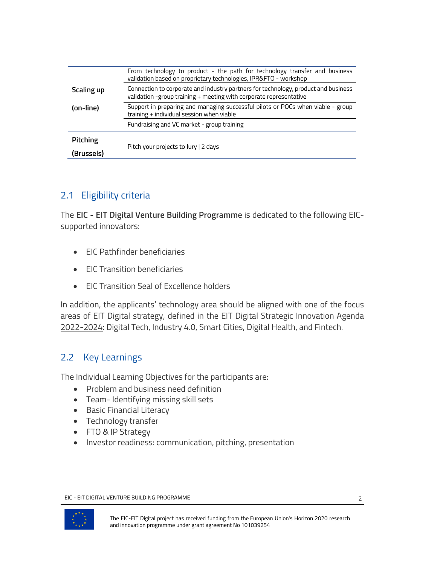|            | From technology to product - the path for technology transfer and business<br>validation based on proprietary technologies, IPR&FTO - workshop           |
|------------|----------------------------------------------------------------------------------------------------------------------------------------------------------|
| Scaling up | Connection to corporate and industry partners for technology, product and business<br>validation -group training + meeting with corporate representative |
| (on-line)  | Support in preparing and managing successful pilots or POCs when viable - group<br>training + individual session when viable                             |
|            | Fundraising and VC market - group training                                                                                                               |
| Pitching   |                                                                                                                                                          |
| (Brussels) | Pitch your projects to Jury   2 days                                                                                                                     |

### 2.1 Eligibility criteria

The **EIC - EIT Digital Venture Building Programme** is dedicated to the following EICsupported innovators:

- EIC Pathfinder beneficiaries
- EIC Transition beneficiaries
- EIC Transition Seal of Excellence holders

In addition, the applicants' technology area should be aligned with one of the focus areas of EIT Digital strategy, defined in the EIT Digital Strategic Innovation Agenda 2022-2024: Digital Tech, Industry 4.0, Smart Cities, Digital Health, and Fintech.

### 2.2 Key Learnings

The Individual Learning Objectives for the participants are:

- Problem and business need definition
- Team- Identifying missing skill sets
- Basic Financial Literacy
- Technology transfer
- FTO & IP Strategy
- Investor readiness: communication, pitching, presentation

EIC - EIT DIGITAL VENTURE BUILDING PROGRAMME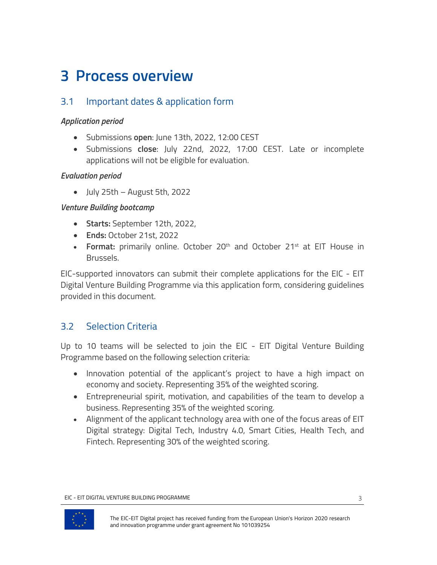## **3 Process overview**

### 3.1 Important dates & application form

#### *Application period*

- Submissions **open**: June 13th, 2022, 12:00 CEST
- Submissions **close**: July 22nd, 2022, 17:00 CEST. Late or incomplete applications will not be eligible for evaluation.

#### *Evaluation period*

• July 25th – August 5th, 2022

#### *Venture Building bootcamp*

- **Starts:** September 12th, 2022,
- **Ends:** October 21st, 2022
- **Format:** primarily online. October 20<sup>th</sup> and October 21<sup>st</sup> at EIT House in Brussels.

EIC-supported innovators can submit their complete applications for the EIC - EIT Digital Venture Building Programme via this application form, considering guidelines provided in this document.

### 3.2 Selection Criteria

Up to 10 teams will be selected to join the EIC - EIT Digital Venture Building Programme based on the following selection criteria:

- Innovation potential of the applicant's project to have a high impact on economy and society. Representing 35% of the weighted scoring.
- Entrepreneurial spirit, motivation, and capabilities of the team to develop a business. Representing 35% of the weighted scoring.
- Alignment of the applicant technology area with one of the focus areas of EIT Digital strategy: Digital Tech, Industry 4.0, Smart Cities, Health Tech, and Fintech. Representing 30% of the weighted scoring.

EIC - EIT DIGITAL VENTURE BUILDING PROGRAMME